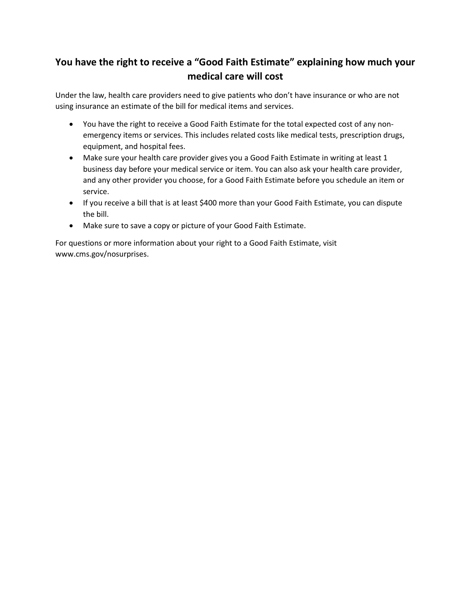## **You have the right to receive a "Good Faith Estimate" explaining how much your medical care will cost**

Under the law, health care providers need to give patients who don't have insurance or who are not using insurance an estimate of the bill for medical items and services.

- You have the right to receive a Good Faith Estimate for the total expected cost of any nonemergency items or services. This includes related costs like medical tests, prescription drugs, equipment, and hospital fees.
- Make sure your health care provider gives you a Good Faith Estimate in writing at least 1 business day before your medical service or item. You can also ask your health care provider, and any other provider you choose, for a Good Faith Estimate before you schedule an item or service.
- If you receive a bill that is at least \$400 more than your Good Faith Estimate, you can dispute the bill.
- Make sure to save a copy or picture of your Good Faith Estimate.

For questions or more information about your right to a Good Faith Estimate, visit www.cms.gov/nosurprises.